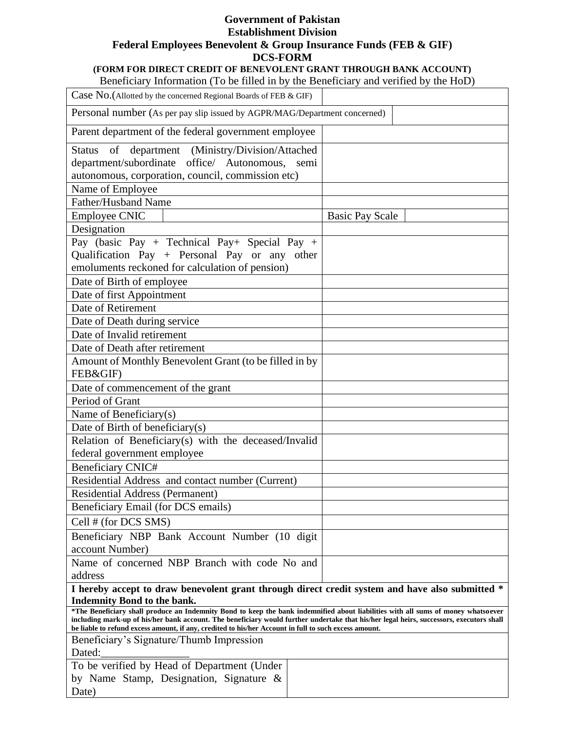### **Government of Pakistan Establishment Division Federal Employees Benevolent & Group Insurance Funds (FEB & GIF) DCS-FORM**

## **(FORM FOR DIRECT CREDIT OF BENEVOLENT GRANT THROUGH BANK ACCOUNT)**

Beneficiary Information (To be filled in by the Beneficiary and verified by the HoD)

| Case No. (Allotted by the concerned Regional Boards of FEB & GIF)                                                                                                       |                        |  |
|-------------------------------------------------------------------------------------------------------------------------------------------------------------------------|------------------------|--|
| Personal number (As per pay slip issued by AGPR/MAG/Department concerned)                                                                                               |                        |  |
| Parent department of the federal government employee                                                                                                                    |                        |  |
| Status of department (Ministry/Division/Attached<br>department/subordinate office/ Autonomous,<br>autonomous, corporation, council, commission etc)                     | semi                   |  |
| Name of Employee                                                                                                                                                        |                        |  |
| Father/Husband Name                                                                                                                                                     |                        |  |
| <b>Employee CNIC</b>                                                                                                                                                    | <b>Basic Pay Scale</b> |  |
| Designation                                                                                                                                                             |                        |  |
| Pay (basic Pay + Technical Pay + Special Pay +<br>Qualification Pay + Personal Pay or any other<br>emoluments reckoned for calculation of pension)                      |                        |  |
| Date of Birth of employee                                                                                                                                               |                        |  |
| Date of first Appointment                                                                                                                                               |                        |  |
| Date of Retirement                                                                                                                                                      |                        |  |
| Date of Death during service                                                                                                                                            |                        |  |
| Date of Invalid retirement                                                                                                                                              |                        |  |
| Date of Death after retirement                                                                                                                                          |                        |  |
| Amount of Monthly Benevolent Grant (to be filled in by                                                                                                                  |                        |  |
| FEB&GIF)                                                                                                                                                                |                        |  |
| Date of commencement of the grant                                                                                                                                       |                        |  |
| Period of Grant                                                                                                                                                         |                        |  |
| Name of Beneficiary(s)                                                                                                                                                  |                        |  |
| Date of Birth of beneficiary(s)                                                                                                                                         |                        |  |
| Relation of Beneficiary(s) with the deceased/Invalid                                                                                                                    |                        |  |
| federal government employee                                                                                                                                             |                        |  |
| <b>Beneficiary CNIC#</b>                                                                                                                                                |                        |  |
| Residential Address and contact number (Current)                                                                                                                        |                        |  |
| <b>Residential Address (Permanent)</b>                                                                                                                                  |                        |  |
| Beneficiary Email (for DCS emails)                                                                                                                                      |                        |  |
| Cell # (for DCS SMS)                                                                                                                                                    |                        |  |
| Beneficiary NBP Bank Account Number (10 digit                                                                                                                           |                        |  |
| account Number)                                                                                                                                                         |                        |  |
| Name of concerned NBP Branch with code No and                                                                                                                           |                        |  |
| address                                                                                                                                                                 |                        |  |
| I hereby accept to draw benevolent grant through direct credit system and have also submitted *                                                                         |                        |  |
| <b>Indemnity Bond to the bank.</b><br>*The Beneficiary shall produce an Indemnity Bond to keep the bank indemnified about liabilities with all sums of money whatsoever |                        |  |
| including mark-up of his/her bank account. The beneficiary would further undertake that his/her legal heirs, successors, executors shall                                |                        |  |
| be liable to refund excess amount, if any, credited to his/her Account in full to such excess amount.<br>Beneficiary's Signature/Thumb Impression                       |                        |  |
| Dated:                                                                                                                                                                  |                        |  |
| To be verified by Head of Department (Under                                                                                                                             |                        |  |
| by Name Stamp, Designation, Signature $\&$                                                                                                                              |                        |  |
| Date)                                                                                                                                                                   |                        |  |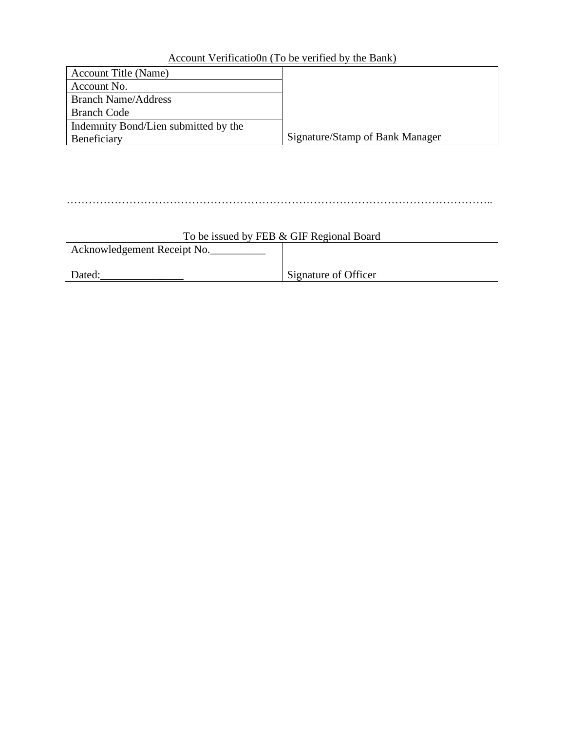# Account Verificatio0n (To be verified by the Bank)

| <b>Account Title (Name)</b>          |                                 |
|--------------------------------------|---------------------------------|
| Account No.                          |                                 |
| <b>Branch Name/Address</b>           |                                 |
| <b>Branch Code</b>                   |                                 |
| Indemnity Bond/Lien submitted by the |                                 |
| Beneficiary                          | Signature/Stamp of Bank Manager |

## ……………………………………………………………………………………………………..

| To be issued by FEB & GIF Regional Board |                      |  |
|------------------------------------------|----------------------|--|
| Acknowledgement Receipt No.              |                      |  |
|                                          |                      |  |
| Dated:                                   | Signature of Officer |  |